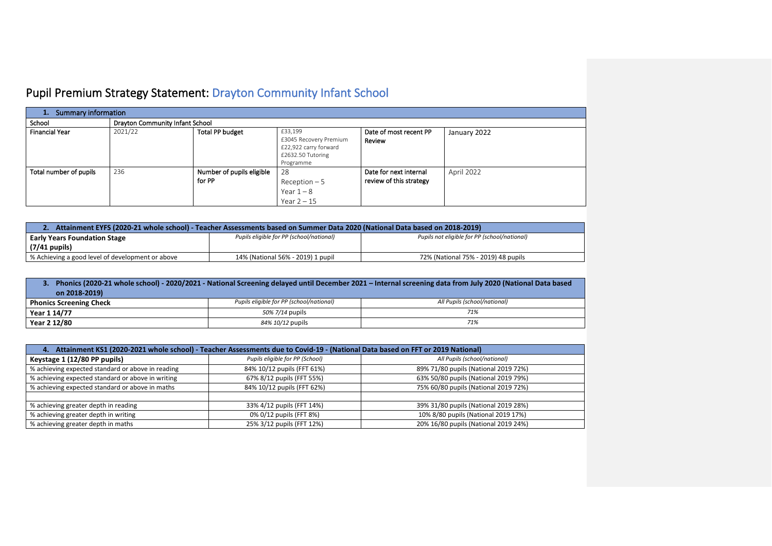## Pupil Premium Strategy Statement: Drayton Community Infant School

| <b>Summary information</b><br>1. |                                 |                                     |                                                                                              |                                                   |              |
|----------------------------------|---------------------------------|-------------------------------------|----------------------------------------------------------------------------------------------|---------------------------------------------------|--------------|
| School                           | Drayton Community Infant School |                                     |                                                                                              |                                                   |              |
| <b>Financial Year</b>            | 2021/22                         | <b>Total PP budget</b>              | £33,199<br>£3045 Recovery Premium<br>£22,922 carry forward<br>£2632.50 Tutoring<br>Programme | Date of most recent PP<br>Review                  | January 2022 |
| Total number of pupils           | 236                             | Number of pupils eligible<br>for PP | 28<br>$Recoption - 5$<br>Year $1-8$<br>Year $2 - 15$                                         | Date for next internal<br>review of this strategy | April 2022   |

| Attainment EYFS (2020-21 whole school) - Teacher Assessments based on Summer Data 2020 (National Data based on 2018-2019) |                                          |                                              |  |  |  |
|---------------------------------------------------------------------------------------------------------------------------|------------------------------------------|----------------------------------------------|--|--|--|
| <b>Early Years Foundation Stage</b>                                                                                       | Pupils eligible for PP (school/national) | Pupils not eligible for PP (school/national) |  |  |  |
| $(7/41$ pupils)                                                                                                           |                                          |                                              |  |  |  |
| % Achieving a good level of development or above                                                                          | 14% (National 56% - 2019) 1 pupil        | 72% (National 75% - 2019) 48 pupils          |  |  |  |

| Phonics (2020-21 whole school) - 2020/2021 - National Screening delayed until December 2021 - Internal screening data from July 2020 (National Data based<br>on 2018-2019) |                                          |                              |  |  |
|----------------------------------------------------------------------------------------------------------------------------------------------------------------------------|------------------------------------------|------------------------------|--|--|
| <b>Phonics Screening Check</b>                                                                                                                                             | Pupils eligible for PP (school/national) | All Pupils (school/national) |  |  |
| Year 1 14/77                                                                                                                                                               | 50% 7/14 pupils                          | 71%                          |  |  |
| Year 2 12/80                                                                                                                                                               | 84% 10/12 pupils                         | 71%                          |  |  |

| 4. Attainment KS1 (2020-2021 whole school) - Teacher Assessments due to Covid-19 - (National Data based on FFT or 2019 National) |                            |                                      |  |  |  |
|----------------------------------------------------------------------------------------------------------------------------------|----------------------------|--------------------------------------|--|--|--|
| Pupils eligible for PP (School)<br>All Pupils (school/national)<br>Keystage 1 (12/80 PP pupils)                                  |                            |                                      |  |  |  |
| % achieving expected standard or above in reading                                                                                | 84% 10/12 pupils (FFT 61%) | 89% 71/80 pupils (National 2019 72%) |  |  |  |
| % achieving expected standard or above in writing                                                                                | 67% 8/12 pupils (FFT 55%)  | 63% 50/80 pupils (National 2019 79%) |  |  |  |
| % achieving expected standard or above in maths                                                                                  | 84% 10/12 pupils (FFT 62%) | 75% 60/80 pupils (National 2019 72%) |  |  |  |
|                                                                                                                                  |                            |                                      |  |  |  |
| % achieving greater depth in reading<br>33% 4/12 pupils (FFT 14%)<br>39% 31/80 pupils (National 2019 28%)                        |                            |                                      |  |  |  |
| % achieving greater depth in writing                                                                                             | 0% 0/12 pupils (FFT 8%)    | 10% 8/80 pupils (National 2019 17%)  |  |  |  |
| % achieving greater depth in maths                                                                                               | 25% 3/12 pupils (FFT 12%)  | 20% 16/80 pupils (National 2019 24%) |  |  |  |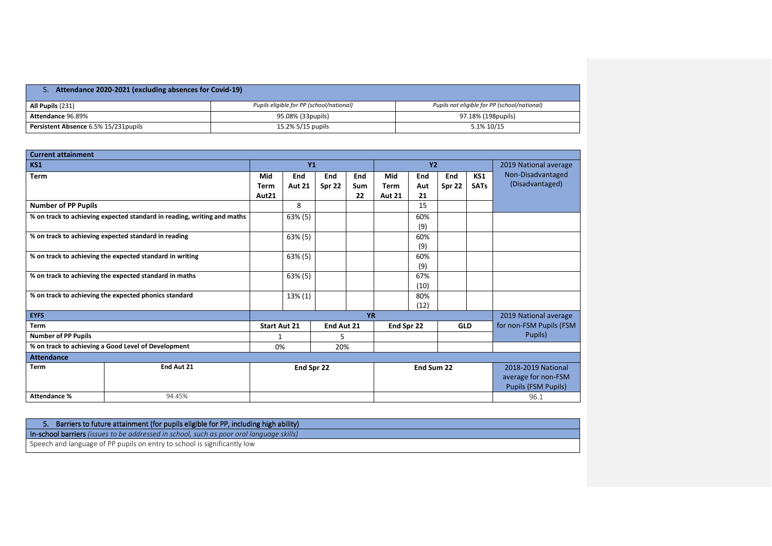| 5. Attendance 2020-2021 (excluding absences for Covid-19) |                                          |                                              |  |  |  |
|-----------------------------------------------------------|------------------------------------------|----------------------------------------------|--|--|--|
| All Pupils (231)                                          | Pupils eligible for PP (school/national) | Pupils not eligible for PP (school/national) |  |  |  |
| Attendance 96.89%                                         | 95.08% (33pupils)                        | 97.18% (198pupils)                           |  |  |  |
| Persistent Absence 6.5% 15/231 pupils                     | 15.2% 5/15 pupils                        | 5.1% 10/15                                   |  |  |  |

| <b>Current attainment</b>  |                                                                         |                     |               |            |            |               |            |                       |                       |                            |
|----------------------------|-------------------------------------------------------------------------|---------------------|---------------|------------|------------|---------------|------------|-----------------------|-----------------------|----------------------------|
| <b>KS1</b>                 |                                                                         |                     | <b>Y1</b>     |            |            | <b>Y2</b>     |            |                       | 2019 National average |                            |
| <b>Term</b>                |                                                                         | Mid                 | End           | End        | End        | Mid           | End        | End                   | KS1                   | Non-Disadvantaged          |
|                            |                                                                         | <b>Term</b>         | <b>Aut 21</b> | Spr 22     | <b>Sum</b> | <b>Term</b>   | Aut        | Spr 22                | <b>SATs</b>           | (Disadvantaged)            |
|                            |                                                                         | Aut21               |               |            | 22         | <b>Aut 21</b> | 21         |                       |                       |                            |
| <b>Number of PP Pupils</b> |                                                                         |                     | 8             |            |            |               | 15         |                       |                       |                            |
|                            | % on track to achieving expected standard in reading, writing and maths |                     | $63\%$ (5)    |            |            |               | 60%        |                       |                       |                            |
|                            |                                                                         |                     |               |            |            |               | (9)        |                       |                       |                            |
|                            | % on track to achieving expected standard in reading                    |                     | $63\%$ (5)    |            |            |               | 60%        |                       |                       |                            |
|                            |                                                                         |                     |               |            |            |               | (9)        |                       |                       |                            |
|                            | % on track to achieving the expected standard in writing                |                     | $63\%$ (5)    |            |            |               | 60%        |                       |                       |                            |
|                            |                                                                         |                     |               |            |            |               | (9)        |                       |                       |                            |
|                            | % on track to achieving the expected standard in maths                  |                     | $63\%$ (5)    |            |            |               | 67%        |                       |                       |                            |
|                            |                                                                         |                     |               |            |            |               | (10)       |                       |                       |                            |
|                            | % on track to achieving the expected phonics standard                   |                     | $13\%$ (1)    |            |            |               | 80%        |                       |                       |                            |
|                            |                                                                         |                     |               |            |            |               | (12)       |                       |                       |                            |
| <b>EYFS</b>                |                                                                         | <b>YR</b>           |               |            |            |               |            | 2019 National average |                       |                            |
| <b>Term</b>                |                                                                         | <b>Start Aut 21</b> |               | End Aut 21 |            | End Spr 22    |            | <b>GLD</b>            |                       | for non-FSM Pupils (FSM    |
| <b>Number of PP Pupils</b> |                                                                         | 1                   |               | 5.         |            |               |            |                       |                       | Pupils)                    |
|                            | % on track to achieving a Good Level of Development                     | 0%                  |               | 20%        |            |               |            |                       |                       |                            |
| <b>Attendance</b>          |                                                                         |                     |               |            |            |               |            |                       |                       |                            |
| <b>Term</b>                | End Aut 21                                                              |                     | End Spr 22    |            |            |               | End Sum 22 |                       |                       | 2018-2019 National         |
|                            |                                                                         |                     |               |            |            |               |            |                       |                       | average for non-FSM        |
|                            |                                                                         |                     |               |            |            |               |            |                       |                       | <b>Pupils (FSM Pupils)</b> |
| <b>Attendance %</b>        | 94.45%                                                                  |                     |               |            |            |               |            |                       |                       | 96.1                       |

| Barriers to future attainment (for pupils eligible for PP, including high ability)              |
|-------------------------------------------------------------------------------------------------|
| <b>In-school barriers</b> (issues to be addressed in school, such as poor oral language skills) |
| Speech and language of PP pupils on entry to school is significantly low                        |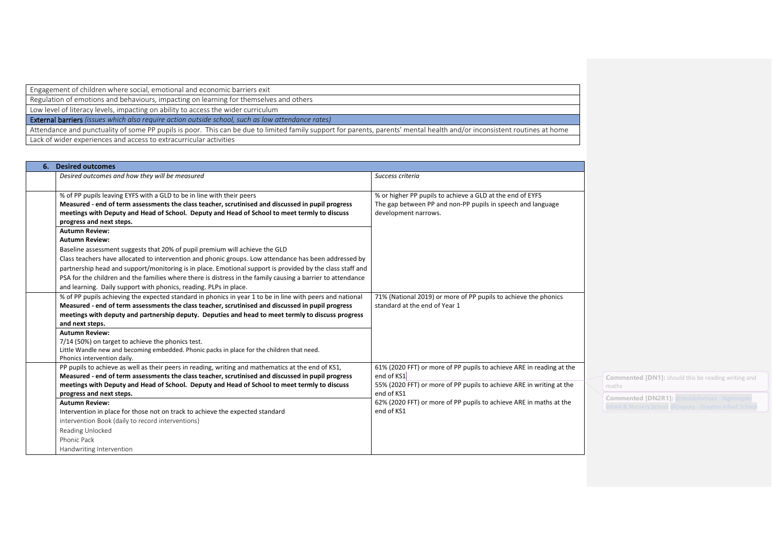Engagement of children where social, emotional and economic barriers exit

Regulation of emotions and behaviours, impacting on learning for themselves and others

Low level of literacy levels, impacting on ability to access the wider curriculum

External barriers *(issues which also require action outside school, such as low attendance rates)*

Attendance and punctuality of some PP pupils is poor. This can be due to limited family support for parents, parents' mental health and/or inconsistent routines at home Lack of wider experiences and access to extracurricular activities

| <b>Desired outcomes</b>                                                                                                                                                                                                                                                                                                                                                                                                                                                               |                                                                                                                                                            |
|---------------------------------------------------------------------------------------------------------------------------------------------------------------------------------------------------------------------------------------------------------------------------------------------------------------------------------------------------------------------------------------------------------------------------------------------------------------------------------------|------------------------------------------------------------------------------------------------------------------------------------------------------------|
| Desired outcomes and how they will be measured                                                                                                                                                                                                                                                                                                                                                                                                                                        | Success criteria                                                                                                                                           |
| % of PP pupils leaving EYFS with a GLD to be in line with their peers<br>Measured - end of term assessments the class teacher, scrutinised and discussed in pupil progress<br>meetings with Deputy and Head of School. Deputy and Head of School to meet termly to discuss<br>progress and next steps.                                                                                                                                                                                | % or higher PP pupils to achieve a GLD at the end of EYFS<br>The gap between PP and non-PP pupils in speech and language<br>development narrows.           |
| <b>Autumn Review:</b>                                                                                                                                                                                                                                                                                                                                                                                                                                                                 |                                                                                                                                                            |
| <b>Autumn Review:</b>                                                                                                                                                                                                                                                                                                                                                                                                                                                                 |                                                                                                                                                            |
| Baseline assessment suggests that 20% of pupil premium will achieve the GLD<br>Class teachers have allocated to intervention and phonic groups. Low attendance has been addressed by<br>partnership head and support/monitoring is in place. Emotional support is provided by the class staff and<br>PSA for the children and the families where there is distress in the family causing a barrier to attendance<br>and learning. Daily support with phonics, reading. PLPs in place. |                                                                                                                                                            |
| % of PP pupils achieving the expected standard in phonics in year 1 to be in line with peers and national<br>Measured - end of term assessments the class teacher, scrutinised and discussed in pupil progress<br>meetings with deputy and partnership deputy. Deputies and head to meet termly to discuss progress<br>and next steps.                                                                                                                                                | 71% (National 2019) or more of PP pupils to achieve the phonics<br>standard at the end of Year 1                                                           |
| <b>Autumn Review:</b><br>7/14 (50%) on target to achieve the phonics test.<br>Little Wandle new and becoming embedded. Phonic packs in place for the children that need.<br>Phonics intervention daily.                                                                                                                                                                                                                                                                               |                                                                                                                                                            |
| PP pupils to achieve as well as their peers in reading, writing and mathematics at the end of KS1,<br>Measured - end of term assessments the class teacher, scrutinised and discussed in pupil progress<br>meetings with Deputy and Head of School. Deputy and Head of School to meet termly to discuss                                                                                                                                                                               | 61% (2020 FFT) or more of PP pupils to achieve ARE in reading at the<br>end of KS1<br>55% (2020 FFT) or more of PP pupils to achieve ARE in writing at the |
| progress and next steps.                                                                                                                                                                                                                                                                                                                                                                                                                                                              | end of KS1                                                                                                                                                 |
| <b>Autumn Review:</b>                                                                                                                                                                                                                                                                                                                                                                                                                                                                 | 62% (2020 FFT) or more of PP pupils to achieve ARE in maths at the                                                                                         |
| Intervention in place for those not on track to achieve the expected standard                                                                                                                                                                                                                                                                                                                                                                                                         | end of KS1                                                                                                                                                 |
| intervention Book (daily to record interventions)                                                                                                                                                                                                                                                                                                                                                                                                                                     |                                                                                                                                                            |
| Reading Unlocked                                                                                                                                                                                                                                                                                                                                                                                                                                                                      |                                                                                                                                                            |
| Phonic Pack                                                                                                                                                                                                                                                                                                                                                                                                                                                                           |                                                                                                                                                            |
| Handwriting Intervention                                                                                                                                                                                                                                                                                                                                                                                                                                                              |                                                                                                                                                            |

**nted [DN1]:** should this be reading writing and

**Commented [DN2R1]:** [@Headofschool -](mailto:headofschoolnians@istnorfolk.co.uk) Nightingale ursery School @Deputy - [Drayton Infant School](mailto:deputydrayton@istnorfolk.co.uk)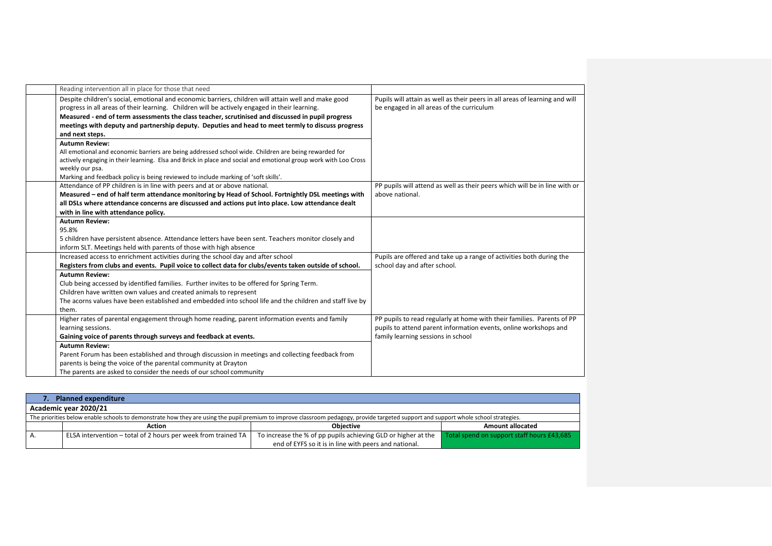| Reading intervention all in place for those that need                                                           |                                                                             |
|-----------------------------------------------------------------------------------------------------------------|-----------------------------------------------------------------------------|
| Despite children's social, emotional and economic barriers, children will attain well and make good             | Pupils will attain as well as their peers in all areas of learning and will |
| progress in all areas of their learning. Children will be actively engaged in their learning.                   | be engaged in all areas of the curriculum                                   |
| Measured - end of term assessments the class teacher, scrutinised and discussed in pupil progress               |                                                                             |
| meetings with deputy and partnership deputy. Deputies and head to meet termly to discuss progress               |                                                                             |
| and next steps.                                                                                                 |                                                                             |
| <b>Autumn Review:</b>                                                                                           |                                                                             |
| All emotional and economic barriers are being addressed school wide. Children are being rewarded for            |                                                                             |
| actively engaging in their learning. Elsa and Brick in place and social and emotional group work with Loo Cross |                                                                             |
| weekly our psa.                                                                                                 |                                                                             |
| Marking and feedback policy is being reviewed to include marking of 'soft skills'.                              |                                                                             |
| Attendance of PP children is in line with peers and at or above national.                                       | PP pupils will attend as well as their peers which will be in line with or  |
| Measured - end of half term attendance monitoring by Head of School. Fortnightly DSL meetings with              | above national.                                                             |
| all DSLs where attendance concerns are discussed and actions put into place. Low attendance dealt               |                                                                             |
| with in line with attendance policy.                                                                            |                                                                             |
| <b>Autumn Review:</b>                                                                                           |                                                                             |
| 95.8%                                                                                                           |                                                                             |
| 5 children have persistent absence. Attendance letters have been sent. Teachers monitor closely and             |                                                                             |
| inform SLT. Meetings held with parents of those with high absence                                               |                                                                             |
| Increased access to enrichment activities during the school day and after school                                | Pupils are offered and take up a range of activities both during the        |
| Registers from clubs and events. Pupil voice to collect data for clubs/events taken outside of school.          | school day and after school.                                                |
| <b>Autumn Review:</b>                                                                                           |                                                                             |
| Club being accessed by identified families. Further invites to be offered for Spring Term.                      |                                                                             |
| Children have written own values and created animals to represent                                               |                                                                             |
| The acorns values have been established and embedded into school life and the children and staff live by        |                                                                             |
| them.                                                                                                           |                                                                             |
| Higher rates of parental engagement through home reading, parent information events and family                  | PP pupils to read regularly at home with their families. Parents of PP      |
| learning sessions.                                                                                              | pupils to attend parent information events, online workshops and            |
| Gaining voice of parents through surveys and feedback at events.                                                | family learning sessions in school                                          |
| <b>Autumn Review:</b>                                                                                           |                                                                             |
| Parent Forum has been established and through discussion in meetings and collecting feedback from               |                                                                             |
| parents is being the voice of the parental community at Drayton                                                 |                                                                             |
| The parents are asked to consider the needs of our school community                                             |                                                                             |
|                                                                                                                 |                                                                             |

| <b>Planned expenditure</b> |                                                                                                                                                                                      |                                                               |                                            |  |  |  |
|----------------------------|--------------------------------------------------------------------------------------------------------------------------------------------------------------------------------------|---------------------------------------------------------------|--------------------------------------------|--|--|--|
|                            | Academic year 2020/21                                                                                                                                                                |                                                               |                                            |  |  |  |
|                            | The priorities below enable schools to demonstrate how they are using the pupil premium to improve classroom pedagogy, provide targeted support and support whole school strategies. |                                                               |                                            |  |  |  |
|                            | Action                                                                                                                                                                               | <b>Objective</b>                                              | <b>Amount allocated</b>                    |  |  |  |
| А.                         | ELSA intervention – total of 2 hours per week from trained TA                                                                                                                        | To increase the % of pp pupils achieving GLD or higher at the | Total spend on support staff hours £43,685 |  |  |  |
|                            |                                                                                                                                                                                      | end of EYFS so it is in line with peers and national.         |                                            |  |  |  |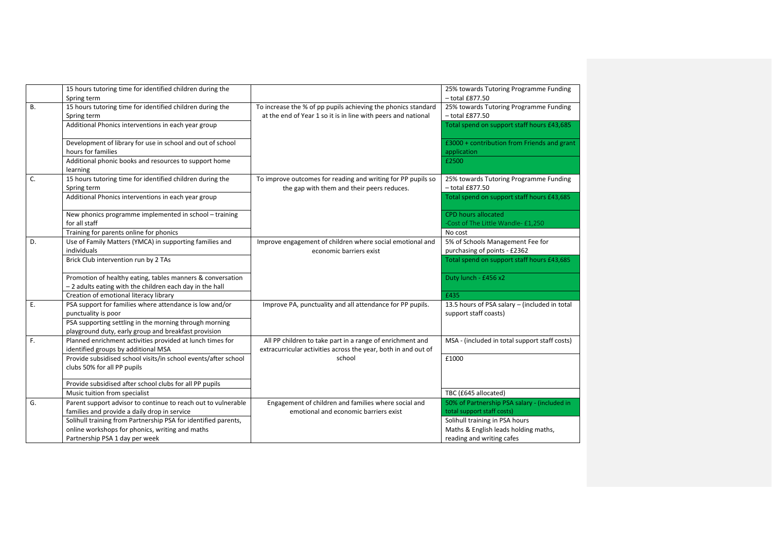|    | 15 hours tutoring time for identified children during the<br>Spring term                                              |                                                                                                                                | 25% towards Tutoring Programme Funding<br>$-$ total £877.50      |
|----|-----------------------------------------------------------------------------------------------------------------------|--------------------------------------------------------------------------------------------------------------------------------|------------------------------------------------------------------|
| В. | 15 hours tutoring time for identified children during the<br>Spring term                                              | To increase the % of pp pupils achieving the phonics standard<br>at the end of Year 1 so it is in line with peers and national | 25% towards Tutoring Programme Funding<br>$-$ total £877.50      |
|    | Additional Phonics interventions in each year group                                                                   |                                                                                                                                | Total spend on support staff hours £43,685                       |
|    | Development of library for use in school and out of school<br>hours for families                                      |                                                                                                                                | £3000 + contribution from Friends and grant<br>application       |
|    | Additional phonic books and resources to support home<br>learning                                                     |                                                                                                                                | £2500                                                            |
| C. | 15 hours tutoring time for identified children during the<br>Spring term                                              | To improve outcomes for reading and writing for PP pupils so<br>the gap with them and their peers reduces.                     | 25% towards Tutoring Programme Funding<br>$-$ total £877.50      |
|    | Additional Phonics interventions in each year group                                                                   |                                                                                                                                | Total spend on support staff hours £43,685                       |
|    | New phonics programme implemented in school - training<br>for all staff                                               |                                                                                                                                | <b>CPD hours allocated</b><br>-Cost of The Little Wandle- £1,250 |
|    | Training for parents online for phonics                                                                               |                                                                                                                                | No cost                                                          |
| D. | Use of Family Matters (YMCA) in supporting families and<br>individuals                                                | Improve engagement of children where social emotional and<br>economic barriers exist                                           | 5% of Schools Management Fee for<br>purchasing of points - £2362 |
|    | Brick Club intervention run by 2 TAs                                                                                  |                                                                                                                                | Total spend on support staff hours £43,685                       |
|    | Promotion of healthy eating, tables manners & conversation<br>-2 adults eating with the children each day in the hall |                                                                                                                                | Duty lunch - £456 x2                                             |
|    | Creation of emotional literacy library                                                                                |                                                                                                                                | £435                                                             |
| Ε. | PSA support for families where attendance is low and/or                                                               | Improve PA, punctuality and all attendance for PP pupils.                                                                      | 13.5 hours of PSA salary - (included in total                    |
|    | punctuality is poor                                                                                                   |                                                                                                                                | support staff coasts)                                            |
|    | PSA supporting settling in the morning through morning                                                                |                                                                                                                                |                                                                  |
|    | playground duty, early group and breakfast provision                                                                  |                                                                                                                                |                                                                  |
| F. | Planned enrichment activities provided at lunch times for                                                             | All PP children to take part in a range of enrichment and                                                                      | MSA - (included in total support staff costs)                    |
|    | identified groups by additional MSA                                                                                   | extracurricular activities across the year, both in and out of                                                                 |                                                                  |
|    | Provide subsidised school visits/in school events/after school                                                        | school                                                                                                                         | £1000                                                            |
|    | clubs 50% for all PP pupils                                                                                           |                                                                                                                                |                                                                  |
|    | Provide subsidised after school clubs for all PP pupils                                                               |                                                                                                                                |                                                                  |
|    | Music tuition from specialist                                                                                         |                                                                                                                                | TBC (£645 allocated)                                             |
| G. | Parent support advisor to continue to reach out to vulnerable                                                         | Engagement of children and families where social and                                                                           | 50% of Partnership PSA salary - (included in                     |
|    | families and provide a daily drop in service                                                                          | emotional and economic barriers exist                                                                                          | total support staff costs)                                       |
|    | Solihull training from Partnership PSA for identified parents,                                                        |                                                                                                                                | Solihull training in PSA hours                                   |
|    | online workshops for phonics, writing and maths                                                                       |                                                                                                                                | Maths & English leads holding maths,                             |
|    | Partnership PSA 1 day per week                                                                                        |                                                                                                                                | reading and writing cafes                                        |